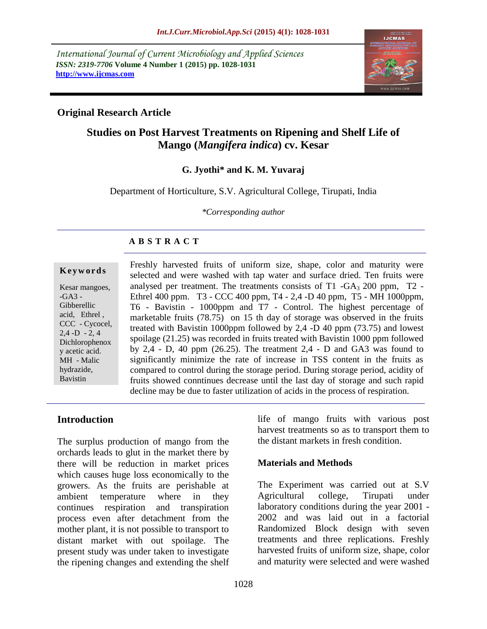*International Journal of Current Microbiology and Applied Sciences ISSN: 2319-7706* **Volume 4 Number 1 (2015) pp. 1028-1031 http://www.ijcmas.com**



## **Original Research Article**

# **Studies on Post Harvest Treatments on Ripening and Shelf Life of Mango (***Mangifera indica***) cv. Kesar**

#### **G. Jyothi\* and K. M. Yuvaraj**

Department of Horticulture, S.V. Agricultural College, Tirupati, India

*\*Corresponding author*

### **A B S T R A C T**

#### **K e y w o r d s**

Kesar mangoes, -GA3 - Gibberellic acid, Ethrel , CCC - Cycocel,  $2,4$  -D - 2, 4 Dichlorophenox y acetic acid. MH - Malic hydrazide, Bavistin

Freshly harvested fruits of uniform size, shape, color and maturity were selected and were washed with tap water and surface dried. Ten fruits were analysed per treatment. The treatments consists of  $T1 - GA<sub>3</sub> 200$  ppm,  $T2 -$ Ethrel 400 ppm. T3 - CCC 400 ppm, T4 - 2,4 -D 40 ppm, T5 - MH 1000ppm, T6 - Bavistin - 1000ppm and T7 - Control. The highest percentage of marketable fruits (78.75) on 15 th day of storage was observed in the fruits treated with Bavistin 1000ppm followed by 2,4 -D 40 ppm (73.75) and lowest spoilage (21.25) was recorded in fruits treated with Bavistin 1000 ppm followed by 2,4 - D, 40 ppm (26.25). The treatment 2,4 - D and GA3 was found to significantly minimize the rate of increase in TSS content in the fruits as compared to control during the storage period. During storage period, acidity of fruits showed conntinues decrease until the last day of storage and such rapid decline may be due to faster utilization of acids in the process of respiration.

### **Introduction**

The surplus production of mango from the orchards leads to glut in the market there by there will be reduction in market prices which causes huge loss economically to the growers. As the fruits are perishable at ambient temperature where in they continues respiration and transpiration process even after detachment from the mother plant, it is not possible to transport to distant market with out spoilage. The present study was under taken to investigate the ripening changes and extending the shelf

life of mango fruits with various post harvest treatments so as to transport them to the distant markets in fresh condition.

### **Materials and Methods**

The Experiment was carried out at S.V Agricultural college, Tirupati under laboratory conditions during the year 2001 - 2002 and was laid out in a factorial Randomized Block design with seven treatments and three replications. Freshly harvested fruits of uniform size, shape, color and maturity were selected and were washed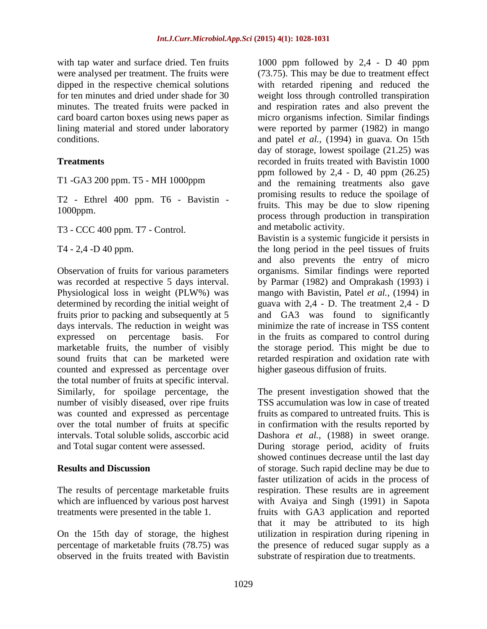with tap water and surface dried. Ten fruits were analysed per treatment. The fruits were dipped in the respective chemical solutions for ten minutes and dried under shade for 30 minutes. The treated fruits were packed in card board carton boxes using news paper as lining material and stored under laboratory conditions.

#### **Treatments**

T1 -GA3 200 ppm. T5 - MH 1000ppm

T2 - Ethrel 400 ppm. T6 - Bavistin - 1000ppm.

T3 - CCC 400 ppm. T7 - Control.

T4 - 2,4 -D 40 ppm.

Observation of fruits for various parameters was recorded at respective 5 days interval. Physiological loss in weight (PLW%) was determined by recording the initial weight of fruits prior to packing and subsequently at 5 days intervals. The reduction in weight was expressed on percentage basis. For marketable fruits, the number of visibly sound fruits that can be marketed were counted and expressed as percentage over the total number of fruits at specific interval. Similarly, for spoilage percentage, the number of visibly diseased, over ripe fruits was counted and expressed as percentage over the total number of fruits at specific intervals. Total soluble solids, asccorbic acid and Total sugar content were assessed.

#### **Results and Discussion**

The results of percentage marketable fruits which are influenced by various post harvest treatments were presented in the table 1.

On the 15th day of storage, the highest percentage of marketable fruits (78.75) was observed in the fruits treated with Bavistin

1000 ppm followed by 2,4 - D 40 ppm (73.75). This may be due to treatment effect with retarded ripening and reduced the weight loss through controlled transpiration and respiration rates and also prevent the micro organisms infection. Similar findings were reported by parmer (1982) in mango and patel *et al.,* (1994) in guava. On 15th day of storage, lowest spoilage (21.25) was recorded in fruits treated with Bavistin 1000 ppm followed by  $2,4$  - D, 40 ppm  $(26.25)$ and the remaining treatments also gave promising results to reduce the spoilage of fruits. This may be due to slow ripening process through production in transpiration and metabolic activity.

Bavistin is a systemic fungicide it persists in the long period in the peel tissues of fruits and also prevents the entry of micro organisms. Similar findings were reported by Parmar (1982) and Omprakash (1993) i mango with Bavistin, Patel *et al.,* (1994) in guava with 2,4 - D. The treatment 2,4 - D and GA3 was found to significantly minimize the rate of increase in TSS content in the fruits as compared to control during the storage period. This might be due to retarded respiration and oxidation rate with higher gaseous diffusion of fruits.

The present investigation showed that the TSS accumulation was low in case of treated fruits as compared to untreated fruits. This is in confirmation with the results reported by Dashora *et al.*, (1988) in sweet orange. During storage period, acidity of fruits showed continues decrease until the last day of storage. Such rapid decline may be due to faster utilization of acids in the process of respiration. These results are in agreement with Avaiya and Singh (1991) in Sapota fruits with GA3 application and reported that it may be attributed to its high utilization in respiration during ripening in the presence of reduced sugar supply as a substrate of respiration due to treatments.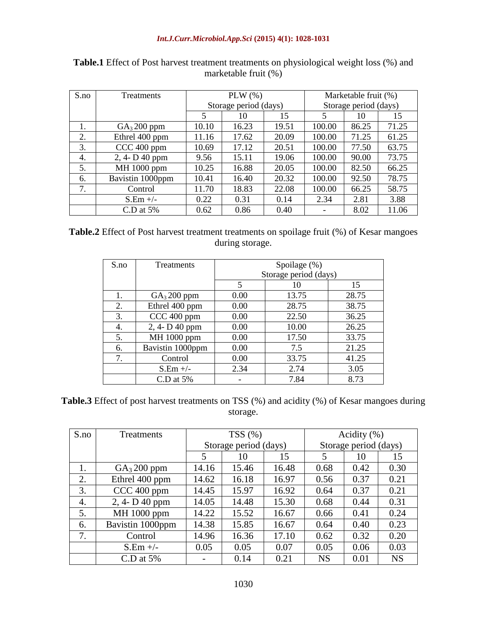| S.no | <b>Treatments</b>       | PLW $(\%)$            |       |       | Marketable fruit (%)  |       |       |
|------|-------------------------|-----------------------|-------|-------|-----------------------|-------|-------|
|      |                         | Storage period (days) |       |       | Storage period (days) |       |       |
|      |                         | 5                     | 10    | 15    | 5                     | 10    | 15    |
| 1.   | GA <sub>3</sub> 200 ppm | 10.10                 | 16.23 | 19.51 | 100.00                | 86.25 | 71.25 |
| 2.   | Ethrel 400 ppm          | 11.16                 | 17.62 | 20.09 | 100.00                | 71.25 | 61.25 |
| 3.   | CCC 400 ppm             | 10.69                 | 17.12 | 20.51 | 100.00                | 77.50 | 63.75 |
| 4.   | 2, 4- D 40 ppm          | 9.56                  | 15.11 | 19.06 | 100.00                | 90.00 | 73.75 |
| 5.   | MH 1000 ppm             | 10.25                 | 16.88 | 20.05 | 100.00                | 82.50 | 66.25 |
| 6.   | Bavistin 1000ppm        | 10.41                 | 16.40 | 20.32 | 100.00                | 92.50 | 78.75 |
| 7.   | Control                 | 11.70                 | 18.83 | 22.08 | 100.00                | 66.25 | 58.75 |
|      | $S.Em +/-$              | 0.22                  | 0.31  | 0.14  | 2.34                  | 2.81  | 3.88  |
|      | $C.D$ at 5%             | 0.62                  | 0.86  | 0.40  |                       | 8.02  | 11.06 |

| <b>Table.1</b> Effect of Post harvest treatment treatments on physiological weight loss (%) and |  |
|-------------------------------------------------------------------------------------------------|--|
| marketable fruit $(\%)$                                                                         |  |

**Table.2** Effect of Post harvest treatment treatments on spoilage fruit (%) of Kesar mangoes during storage.

| S.no | <b>Treatments</b>       | Spoilage (%)          |       |       |  |  |
|------|-------------------------|-----------------------|-------|-------|--|--|
|      |                         | Storage period (days) |       |       |  |  |
|      |                         | 5                     | 10    | 15    |  |  |
| 1.   | GA <sub>3</sub> 200 ppm | 0.00                  | 13.75 | 28.75 |  |  |
| 2.   | Ethrel 400 ppm          | 0.00                  | 28.75 | 38.75 |  |  |
| 3.   | CCC 400 ppm             | 0.00                  | 22.50 | 36.25 |  |  |
| 4.   | 2, 4- D 40 ppm          | 0.00                  | 10.00 | 26.25 |  |  |
| 5.   | MH 1000 ppm             | 0.00                  | 17.50 | 33.75 |  |  |
| 6.   | Bavistin 1000ppm        | 0.00                  | 7.5   | 21.25 |  |  |
| 7.   | Control                 | 0.00                  | 33.75 | 41.25 |  |  |
|      | $S.Em$ +/-              | 2.34                  | 2.74  | 3.05  |  |  |
|      | C.D at $5%$             |                       | 7.84  | 8.73  |  |  |

**Table.3** Effect of post harvest treatments on TSS (%) and acidity (%) of Kesar mangoes during storage.

| S.no | <b>Treatments</b>       | TSS(%)                |       |       | Acidity $(\% )$       |      |           |
|------|-------------------------|-----------------------|-------|-------|-----------------------|------|-----------|
|      |                         | Storage period (days) |       |       | Storage period (days) |      |           |
|      |                         | 5                     | 10    | 15    | 5                     | 10   | 15        |
| 1.   | GA <sub>3</sub> 200 ppm | 14.16                 | 15.46 | 16.48 | 0.68                  | 0.42 | 0.30      |
| 2.   | Ethrel 400 ppm          | 14.62                 | 16.18 | 16.97 | 0.56                  | 0.37 | 0.21      |
| 3.   | CCC 400 ppm             | 14.45                 | 15.97 | 16.92 | 0.64                  | 0.37 | 0.21      |
| 4.   | 2, 4- D 40 ppm          | 14.05                 | 14.48 | 15.30 | 0.68                  | 0.44 | 0.31      |
| 5.   | MH 1000 ppm             | 14.22                 | 15.52 | 16.67 | 0.66                  | 0.41 | 0.24      |
| 6.   | Bavistin 1000ppm        | 14.38                 | 15.85 | 16.67 | 0.64                  | 0.40 | 0.23      |
| 7.   | Control                 | 14.96                 | 16.36 | 17.10 | 0.62                  | 0.32 | 0.20      |
|      | $S.Em +/-$              | 0.05                  | 0.05  | 0.07  | 0.05                  | 0.06 | 0.03      |
|      | C.D at $5\%$            |                       | 0.14  | 0.21  | <b>NS</b>             | 0.01 | <b>NS</b> |